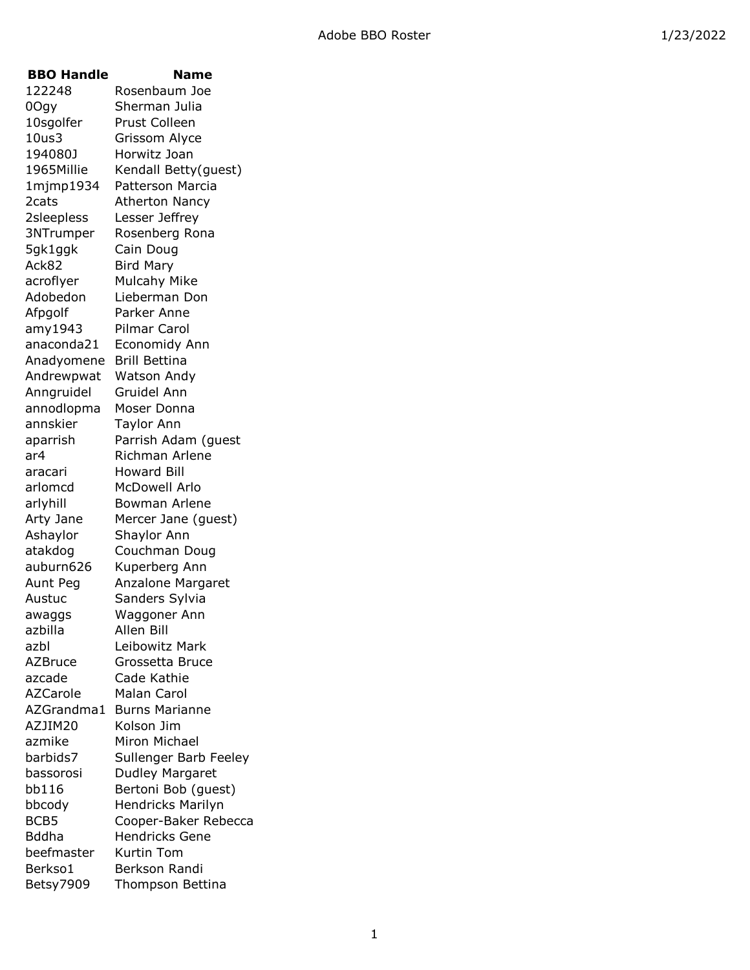| <b>BBO Handle</b> | Name                     |
|-------------------|--------------------------|
| 122248            | Rosenbaum Joe            |
| 0Ogy              | Sherman Julia            |
| 10sgolfer         | Prust Colleen            |
| 10us3             | Grissom Alyce            |
| 194080J           | Horwitz Joan             |
| 1965Millie        | Kendall Betty(guest)     |
| 1mjmp1934         | <b>Patterson Marcia</b>  |
| 2cats             | <b>Atherton Nancy</b>    |
| 2sleepless        | Lesser Jeffrey           |
| 3NTrumper         | Rosenberg Rona           |
| 5gk1ggk           | Cain Doug                |
| Ack82             | Bird Mary                |
| acroflyer         | Mulcahy Mike             |
| Adobedon          | Lieberman Don            |
| Afpgolf           | Parker Anne              |
| amy1943           | Pilmar Carol             |
| anaconda21        | Economidy Ann            |
| Anadyomene        | <b>Brill Bettina</b>     |
| Andrewpwat        | Watson Andy              |
| Anngruidel        | Gruidel Ann              |
| annodlopma        | Moser Donna              |
| annskier          | <b>Taylor Ann</b>        |
| aparrish          | Parrish Adam (guest      |
| ar4               | Richman Arlene           |
| aracari           | Howard Bill              |
| arlomcd           | McDowell Arlo            |
| arlyhill          | Bowman Arlene            |
| Arty Jane         | Mercer Jane (guest)      |
| Ashaylor          | Shaylor Ann              |
| atakdog           | Couchman Doug            |
| auburn626         | Kuperberg Ann            |
| Aunt Peg          | <b>Anzalone Margaret</b> |
| Austuc            | Sanders Sylvia           |
| awaggs            | Waggoner Ann             |
| azbilla           | Allen Bill               |
| azbl              | Leibowitz Mark           |
| <b>AZBruce</b>    | Grossetta Bruce          |
| azcade            | Cade Kathie              |
| <b>AZCarole</b>   | <b>Malan Carol</b>       |
| AZGrandma1        | <b>Burns Marianne</b>    |
| AZJIM20           | Kolson Jim               |
| azmike            | Miron Michael            |
| barbids7          | Sullenger Barb Feeley    |
| bassorosi         | Dudley Margaret          |
| bb116             | Bertoni Bob (guest)      |
| bbcody            | Hendricks Marilyn        |
| BCB5              | Cooper-Baker Rebecca     |
| <b>Bddha</b>      | <b>Hendricks Gene</b>    |
| beefmaster        | Kurtin Tom               |
| Berkso1           | Berkson Randi            |
| Betsy7909         | Thompson Bettina         |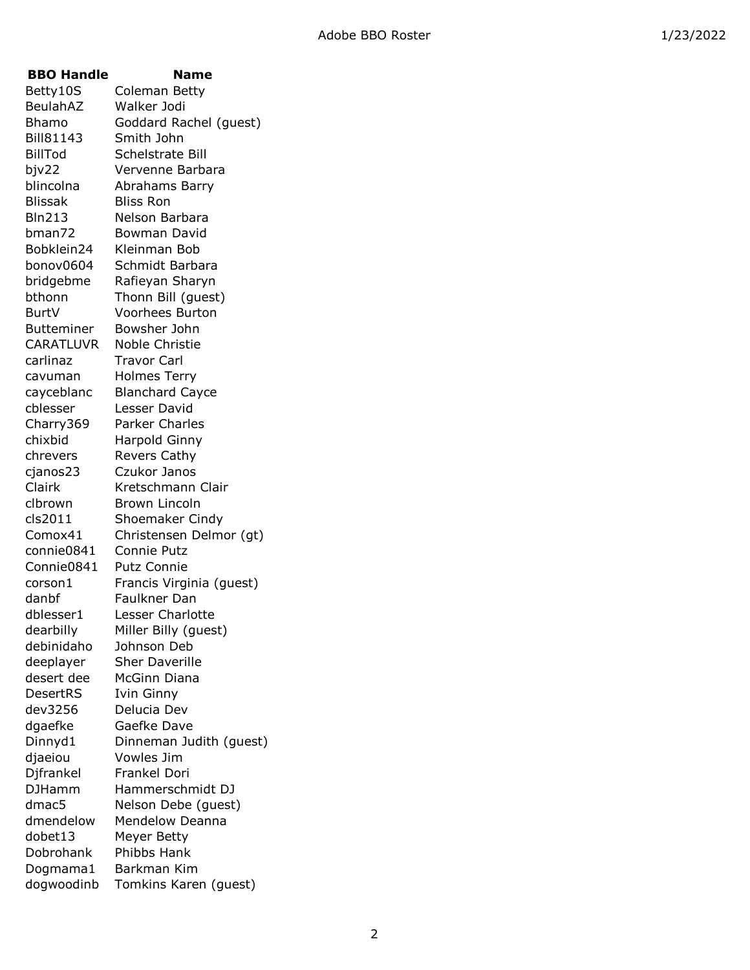| <b>BBO Handle</b> | Name                     |
|-------------------|--------------------------|
| Betty10S          | Coleman Betty            |
| BeulahAZ          | Walker Jodi              |
| Bhamo             | Goddard Rachel (guest)   |
| <b>Bill81143</b>  | Smith John               |
| <b>BillTod</b>    | Schelstrate Bill         |
| bjv22             | Vervenne Barbara         |
| blincolna         | Abrahams Barry           |
| <b>Blissak</b>    | <b>Bliss Ron</b>         |
| <b>Bln213</b>     | Nelson Barbara           |
| bman72            | Bowman David             |
| Bobklein24        | Kleinman Bob             |
| bonov0604         | Schmidt Barbara          |
| bridgebme         | Rafieyan Sharyn          |
| bthonn            | Thonn Bill (guest)       |
| BurtV             | <b>Voorhees Burton</b>   |
| <b>Butteminer</b> | Bowsher John             |
| <b>CARATLUVR</b>  | Noble Christie           |
| carlinaz          | <b>Travor Carl</b>       |
| cavuman           | <b>Holmes Terry</b>      |
| cayceblanc        | <b>Blanchard Cayce</b>   |
| cblesser          | Lesser David             |
| Charry369         | Parker Charles           |
| chixbid           | <b>Harpold Ginny</b>     |
| chrevers          | <b>Revers Cathy</b>      |
| cjanos23          | Czukor Janos             |
| Clairk            | Kretschmann Clair        |
| clbrown           | <b>Brown Lincoln</b>     |
| cls2011           | Shoemaker Cindy          |
| Comox41           | Christensen Delmor (gt)  |
| connie0841        | Connie Putz              |
| Connie0841        | <b>Putz Connie</b>       |
| corson1           | Francis Virginia (guest) |
| danbf             | Faulkner Dan             |
| dblesser1         | Lesser Charlotte         |
| dearbilly         | Miller Billy (guest)     |
| debinidaho        | Johnson Deb              |
| deeplayer         | <b>Sher Daverille</b>    |
| desert dee        | <b>McGinn Diana</b>      |
| DesertRS          | Ivin Ginny               |
| dev3256           | Delucia Dev              |
| dgaefke           | Gaefke Dave              |
| Dinnyd1           | Dinneman Judith (guest)  |
| djaeiou           | Vowles Jim               |
| Djfrankel         | Frankel Dori             |
| <b>DJHamm</b>     | Hammerschmidt DJ         |
| dmac5             | Nelson Debe (guest)      |
| dmendelow         | <b>Mendelow Deanna</b>   |
| dobet13           | Meyer Betty              |
| Dobrohank         | Phibbs Hank              |
| Dogmama1          | Barkman Kim              |
| dogwoodinb        | Tomkins Karen (guest)    |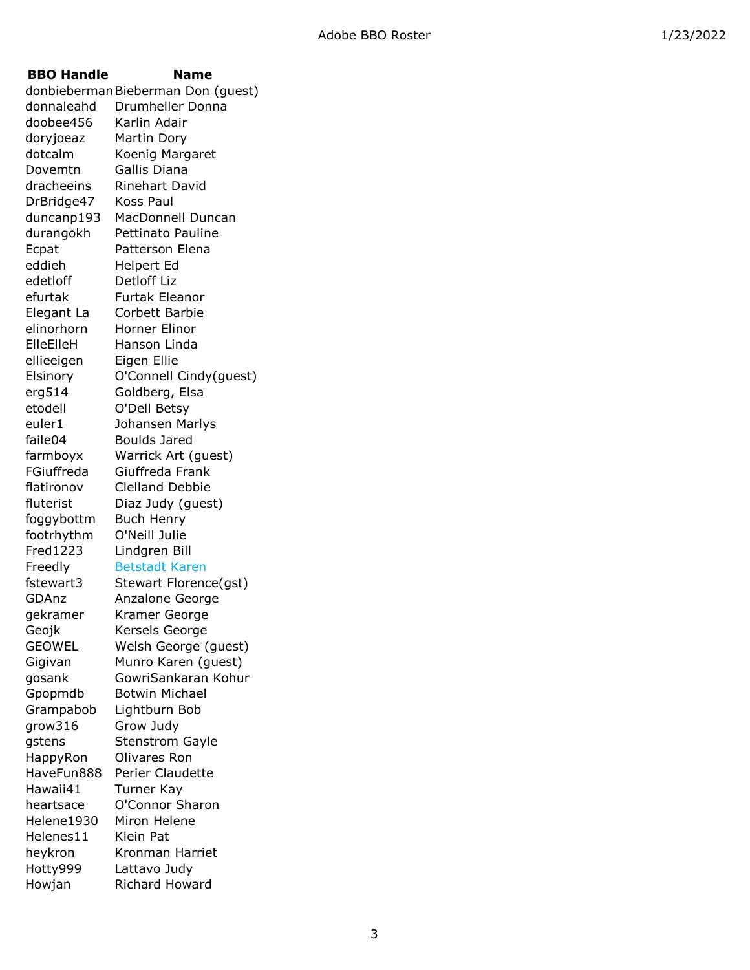**BBO Handle Name** donbieberman Bieberman Don (guest) donnaleahd Drumheller Donna doobee456 Karlin Adair doryjoeaz Martin Dory dotcalm Koenig Margaret Dovemtn Gallis Diana dracheeins Rinehart David DrBridge47 Koss Paul duncanp193 MacDonnell Duncan durangokh Pettinato Pauline Ecpat Patterson Elena eddieh Helpert Ed edetloff Detloff Liz efurtak Furtak Eleanor Elegant La Corbett Barbie elinorhorn Horner Elinor ElleElleH Hanson Linda ellieeigen Eigen Ellie Elsinory O'Connell Cindy(guest) erg514 Goldberg, Elsa etodell O'Dell Betsy euler1 Johansen Marlys faile04 Boulds Jared farmboyx Warrick Art (guest) FGiuffreda Giuffreda Frank flatironov Clelland Debbie fluterist Diaz Judy (quest) foggybottm Buch Henry footrhythm O'Neill Julie Fred1223 Lindgren Bill Freedly Betstadt Karen fstewart3 Stewart Florence(gst) GDAnz Anzalone George gekramer Kramer George Geojk Kersels George GEOWEL Welsh George (guest) Gigivan Munro Karen (guest) gosank GowriSankaran Kohur Gpopmdb Botwin Michael Grampabob Lightburn Bob grow316 Grow Judy gstens Stenstrom Gayle HappyRon Olivares Ron HaveFun888 Perier Claudette Hawaii41 Turner Kay heartsace O'Connor Sharon Helene1930 Miron Helene Helenes11 Klein Pat heykron Kronman Harriet Hotty999 Lattavo Judy Howjan Richard Howard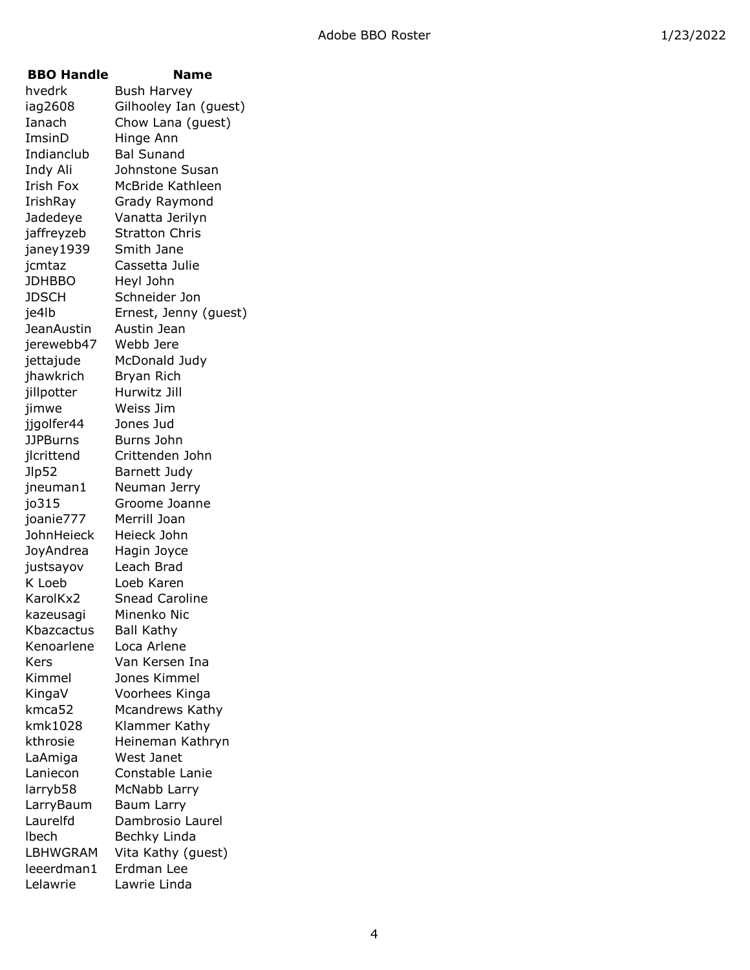| <b>BBO Handle</b> | <b>Name</b>           |
|-------------------|-----------------------|
| hvedrk            | Bush Harvey           |
| iag2608           | Gilhooley Ian (guest) |
| Ianach            | Chow Lana (guest)     |
| ImsinD            | Hinge Ann             |
| Indianclub        | <b>Bal Sunand</b>     |
| Indy Ali          | Johnstone Susan       |
| <b>Irish Fox</b>  | McBride Kathleen      |
| IrishRay          | Grady Raymond         |
| Jadedeye          | Vanatta Jerilyn       |
| jaffreyzeb        | <b>Stratton Chris</b> |
| janey 1939        | Smith Jane            |
| jcmtaz            | Cassetta Julie        |
| <b>JDHBBO</b>     | Heyl John             |
| <b>JDSCH</b>      | Schneider Jon         |
| je4lb             | Ernest, Jenny (guest) |
| JeanAustin        | Austin Jean           |
| jerewebb47        | Webb Jere             |
| jettajude         | McDonald Judy         |
| jhawkrich         | Bryan Rich            |
| jillpotter        | Hurwitz Jill          |
| jimwe             | Weiss Jim             |
| jjgolfer44        | Jones Jud             |
| <b>JJPBurns</b>   | Burns John            |
| jlcrittend        | Crittenden John       |
| Jlp52             | Barnett Judy          |
| jneuman1          | Neuman Jerry          |
| jo315             | Groome Joanne         |
| joanie777         | Merrill Joan          |
| JohnHeieck        | Heieck John           |
| JoyAndrea         | Hagin Joyce           |
| justsayov         | Leach Brad            |
| K Loeb            | Loeb Karen            |
| KarolKx2          | <b>Snead Caroline</b> |
| kazeusagi         | Minenko Nic           |
| Kbazcactus        | Ball Kathy            |
| Kenoarlene        | Loca Arlene           |
| Kers              | Van Kersen Ina        |
| Kimmel            | Jones Kimmel          |
| KingaV            | Voorhees Kinga        |
| kmca52            | Mcandrews Kathy       |
| kmk1028           | Klammer Kathy         |
| kthrosie          | Heineman Kathryn      |
| LaAmiga           | West Janet            |
| Laniecon          | Constable Lanie       |
| larryb58          | McNabb Larry          |
| LarryBaum         | Baum Larry            |
| Laurelfd          | Dambrosio Laurel      |
| Ibech             | Bechky Linda          |
| <b>LBHWGRAM</b>   | Vita Kathy (guest)    |
| leeerdman1        | Erdman Lee            |
| Lelawrie          | Lawrie Linda          |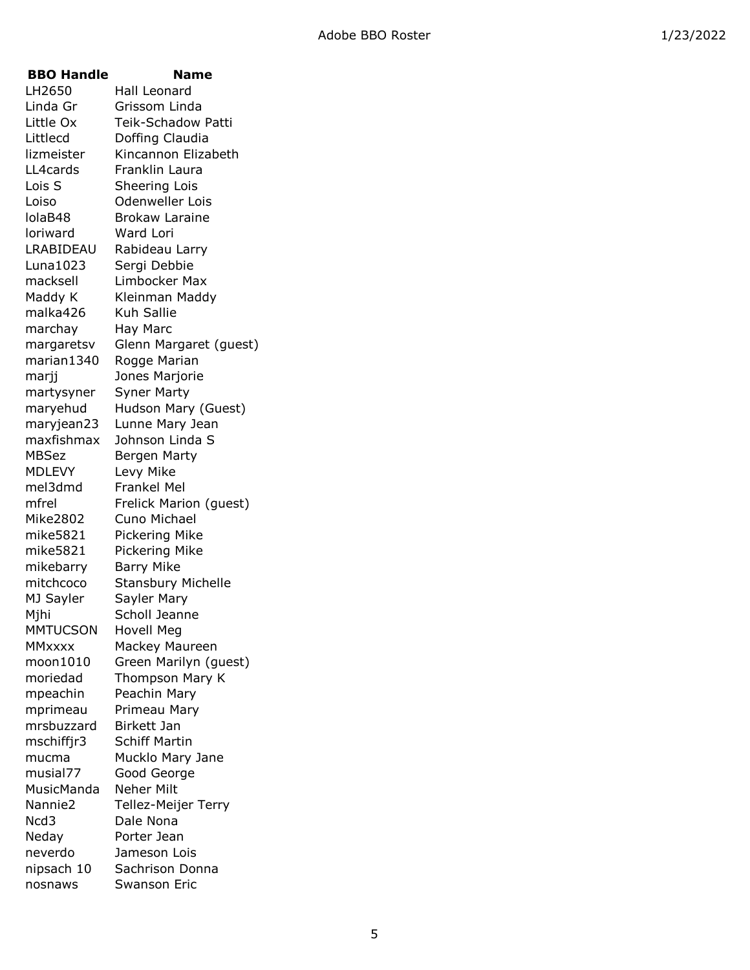| <b>BBO Handle</b>   | Name                      |
|---------------------|---------------------------|
| LH2650              | Hall Leonard              |
| Linda Gr            | Grissom Linda             |
| Little Ox           | Teik-Schadow Patti        |
| Littlecd            | Doffing Claudia           |
| lizmeister          | Kincannon Elizabeth       |
| LL4cards            | Franklin Laura            |
| Lois S              | Sheering Lois             |
| Loiso               | <b>Odenweller Lois</b>    |
| lolaB48             | <b>Brokaw Laraine</b>     |
| loriward            | Ward Lori                 |
| LRABIDEAU           | Rabideau Larry            |
| Luna1023            | Sergi Debbie              |
| macksell            | Limbocker Max             |
| Maddy K             | Kleinman Maddy            |
| malka426            | Kuh Sallie                |
| marchay             | Hay Marc                  |
| margaretsv          | Glenn Margaret (guest)    |
| marian1340          | Rogge Marian              |
| marjj               | Jones Marjorie            |
| martysyner          | <b>Syner Marty</b>        |
| maryehud            | Hudson Mary (Guest)       |
| maryjean23          | Lunne Mary Jean           |
| maxfishmax          | Johnson Linda S           |
| <b>MBSez</b>        | Bergen Marty              |
| <b>MDLEVY</b>       | Levy Mike                 |
| mel3dmd             | Frankel Mel               |
| mfrel               | Frelick Marion (guest)    |
| <b>Mike2802</b>     | Cuno Michael              |
| mike5821            | Pickering Mike            |
| mike5821            | Pickering Mike            |
| mikebarry           | <b>Barry Mike</b>         |
| mitchcoco           | <b>Stansbury Michelle</b> |
| MJ Sayler           | Sayler Mary               |
| Mjhi                | Scholl Jeanne             |
| <b>MMTUCSON</b>     | Hovell Meg                |
| <b>MMxxxx</b>       | Mackey Maureen            |
| moon1010            | Green Marilyn (guest)     |
| moriedad            | Thompson Mary K           |
| mpeachin            | Peachin Mary              |
| mprimeau            | Primeau Mary              |
| mrsbuzzard          | <b>Birkett Jan</b>        |
| mschiffjr3          | <b>Schiff Martin</b>      |
| mucma               | Mucklo Mary Jane          |
| musial77            | Good George               |
| MusicManda          | Neher Milt                |
| Nannie <sub>2</sub> | Tellez-Meijer Terry       |
| Ncd3                | Dale Nona                 |
| Neday               | Porter Jean               |
| neverdo             | Jameson Lois              |
| nipsach 10          | Sachrison Donna           |
| nosnaws             | Swanson Eric              |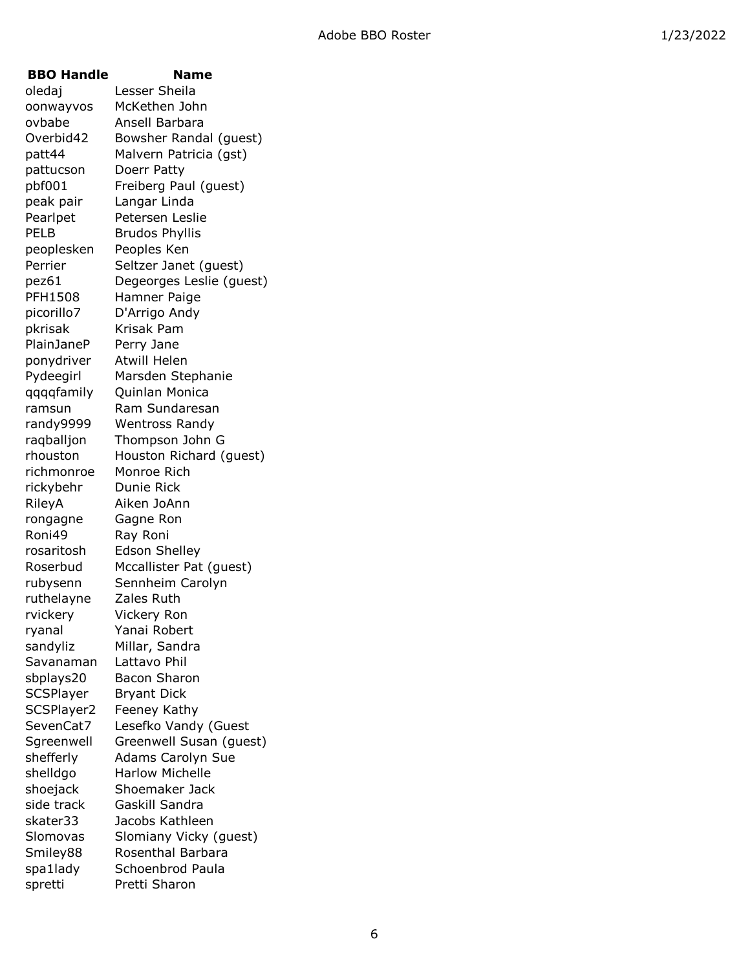| <b>BBO Handle</b> | Name                     |
|-------------------|--------------------------|
| oledaj            | Lesser Sheila            |
| oonwayvos         | McKethen John            |
| ovbabe            | Ansell Barbara           |
| Overbid42         | Bowsher Randal (guest)   |
| patt44            | Malvern Patricia (gst)   |
| pattucson         | Doerr Patty              |
| pbf001            | Freiberg Paul (guest)    |
| peak pair         | Langar Linda             |
| Pearlpet          | Petersen Leslie          |
| <b>PELB</b>       | <b>Brudos Phyllis</b>    |
| peoplesken        | Peoples Ken              |
| Perrier           | Seltzer Janet (guest)    |
| pez61             | Degeorges Leslie (guest) |
| <b>PFH1508</b>    | Hamner Paige             |
| picorillo7        | D'Arrigo Andy            |
| pkrisak           | Krisak Pam               |
| <b>PlainJaneP</b> | Perry Jane               |
| ponydriver        | <b>Atwill Helen</b>      |
| Pydeegirl         | Marsden Stephanie        |
| qqqqfamily        | Quinlan Monica           |
| ramsun            | Ram Sundaresan           |
| randy9999         | <b>Wentross Randy</b>    |
| raqballjon        | Thompson John G          |
| rhouston          | Houston Richard (guest)  |
| richmonroe        | Monroe Rich              |
| rickybehr         | Dunie Rick               |
| RileyA            | Aiken JoAnn              |
| rongagne          | Gagne Ron                |
| Roni49            | Ray Roni                 |
| rosaritosh        | <b>Edson Shelley</b>     |
| Roserbud          | Mccallister Pat (guest)  |
| rubysenn          | Sennheim Carolyn         |
| ruthelayne        | Zales Ruth               |
| rvickery          | Vickery Ron              |
| ryanal            | Yanai Robert             |
| sandyliz          | Millar, Sandra           |
| Savanaman         | Lattavo Phil             |
| sbplays20         | Bacon Sharon             |
| SCSPlayer         | <b>Bryant Dick</b>       |
| SCSPlayer2        | Feeney Kathy             |
| SevenCat7         | Lesefko Vandy (Guest     |
| Sgreenwell        | Greenwell Susan (guest)  |
| shefferly         | <b>Adams Carolyn Sue</b> |
| shelldgo          | <b>Harlow Michelle</b>   |
| shoejack          | Shoemaker Jack           |
| side track        | Gaskill Sandra           |
| skater33          | Jacobs Kathleen          |
| Slomovas          | Slomiany Vicky (guest)   |
| Smiley88          | Rosenthal Barbara        |
| spa1lady          | Schoenbrod Paula         |
| spretti           | Pretti Sharon            |
|                   |                          |